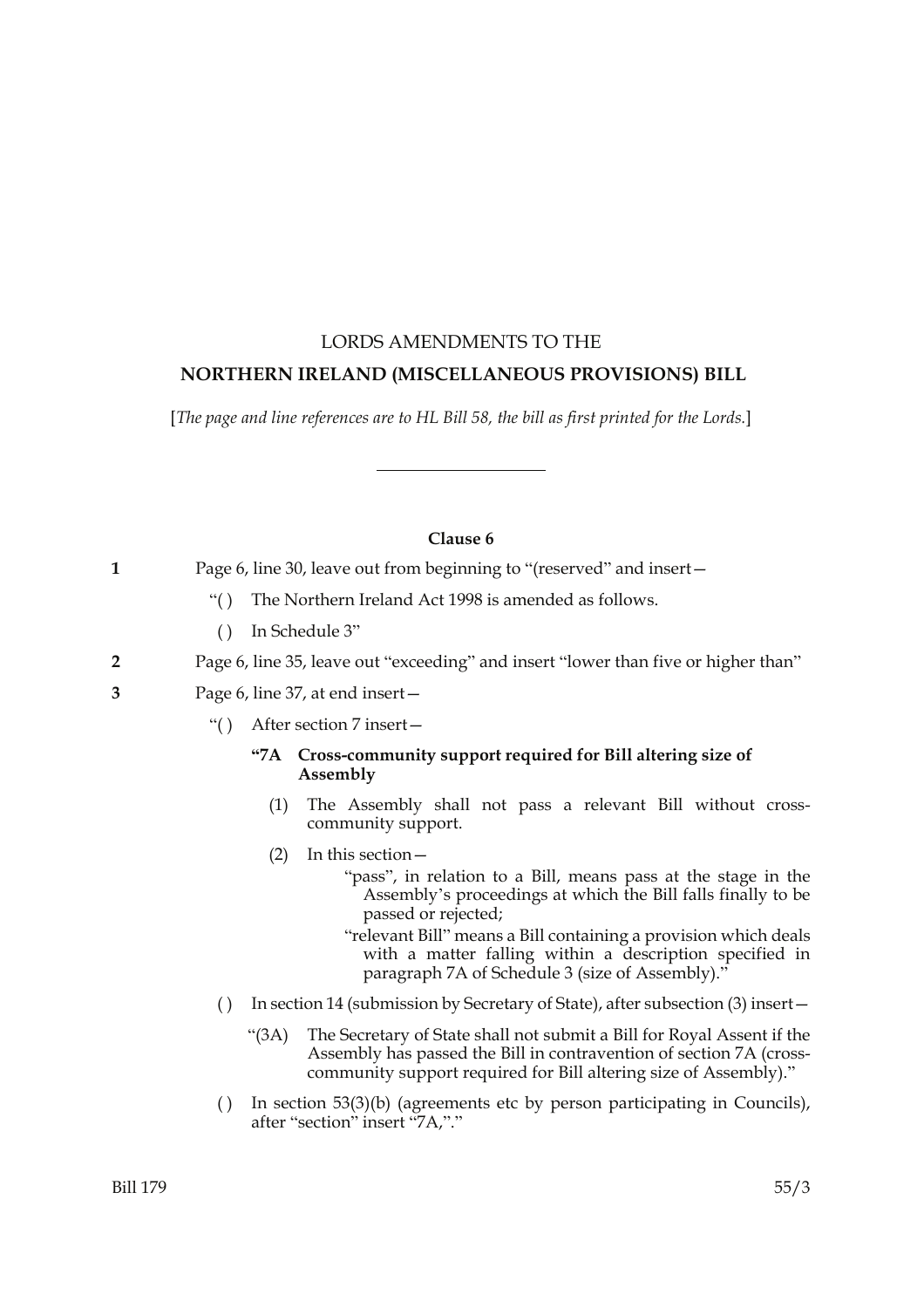# LORDS AMENDMENTS TO THE  **NORTHERN IRELAND (MISCELLANEOUS PROVISIONS) BILL**

[*The page and line references are to HL Bill 58, the bill as first printed for the Lords.*]

## **Clause 6**

**1** Page 6, line 30, leave out from beginning to "(reserved" and insert—

- "( ) The Northern Ireland Act 1998 is amended as follows.
- ( ) In Schedule 3"

# **2** Page 6, line 35, leave out "exceeding" and insert "lower than five or higher than"

- **3** Page 6, line 37, at end insert—
	- "( ) After section 7 insert—

## **"7A Cross-community support required for Bill altering size of Assembly**

- (1) The Assembly shall not pass a relevant Bill without crosscommunity support.
- (2) In this section—
	- "pass", in relation to a Bill, means pass at the stage in the Assembly's proceedings at which the Bill falls finally to be passed or rejected;

"relevant Bill" means a Bill containing a provision which deals with a matter falling within a description specified in paragraph 7A of Schedule 3 (size of Assembly)."

- ( ) In section 14 (submission by Secretary of State), after subsection (3) insert—
	- "(3A) The Secretary of State shall not submit a Bill for Royal Assent if the Assembly has passed the Bill in contravention of section 7A (crosscommunity support required for Bill altering size of Assembly)."
- ( ) In section 53(3)(b) (agreements etc by person participating in Councils), after "section" insert "7A,"."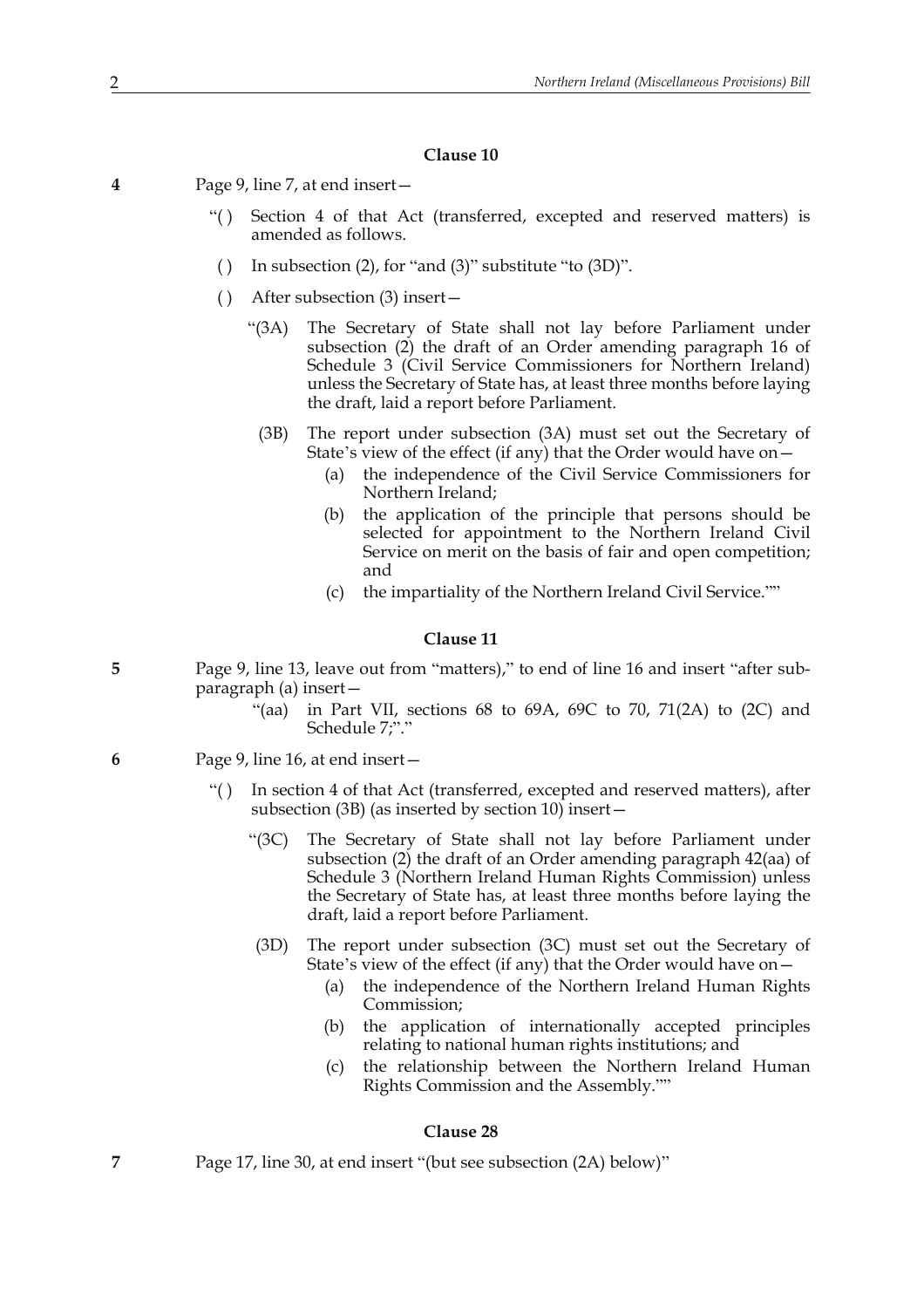#### **Clause 10**

- **4** Page 9, line 7, at end insert—
	- "( ) Section 4 of that Act (transferred, excepted and reserved matters) is amended as follows.
	- ( ) In subsection (2), for "and (3)" substitute "to  $(3D)$ ".
	- ( ) After subsection (3) insert—
		- "(3A) The Secretary of State shall not lay before Parliament under subsection (2) the draft of an Order amending paragraph 16 of Schedule 3 (Civil Service Commissioners for Northern Ireland) unless the Secretary of State has, at least three months before laying the draft, laid a report before Parliament.
			- (3B) The report under subsection (3A) must set out the Secretary of State's view of the effect (if any) that the Order would have on—
				- (a) the independence of the Civil Service Commissioners for Northern Ireland;
				- (b) the application of the principle that persons should be selected for appointment to the Northern Ireland Civil Service on merit on the basis of fair and open competition; and
				- (c) the impartiality of the Northern Ireland Civil Service.""

#### **Clause 11**

- **5** Page 9, line 13, leave out from "matters)," to end of line 16 and insert "after subparagraph (a) insert—
	- "(aa) in Part VII, sections  $68$  to  $69A$ ,  $69C$  to  $70$ ,  $71(2A)$  to  $(2C)$  and Schedule 7;"."
- **6** Page 9, line 16, at end insert—
	- "( ) In section 4 of that Act (transferred, excepted and reserved matters), after subsection (3B) (as inserted by section  $10$ ) insert—
		- "(3C) The Secretary of State shall not lay before Parliament under subsection (2) the draft of an Order amending paragraph 42(aa) of Schedule 3 (Northern Ireland Human Rights Commission) unless the Secretary of State has, at least three months before laying the draft, laid a report before Parliament.
		- (3D) The report under subsection (3C) must set out the Secretary of State's view of the effect (if any) that the Order would have on—
			- (a) the independence of the Northern Ireland Human Rights Commission;
			- (b) the application of internationally accepted principles relating to national human rights institutions; and
			- (c) the relationship between the Northern Ireland Human Rights Commission and the Assembly.""

#### **Clause 28**

**7** Page 17, line 30, at end insert "(but see subsection (2A) below)"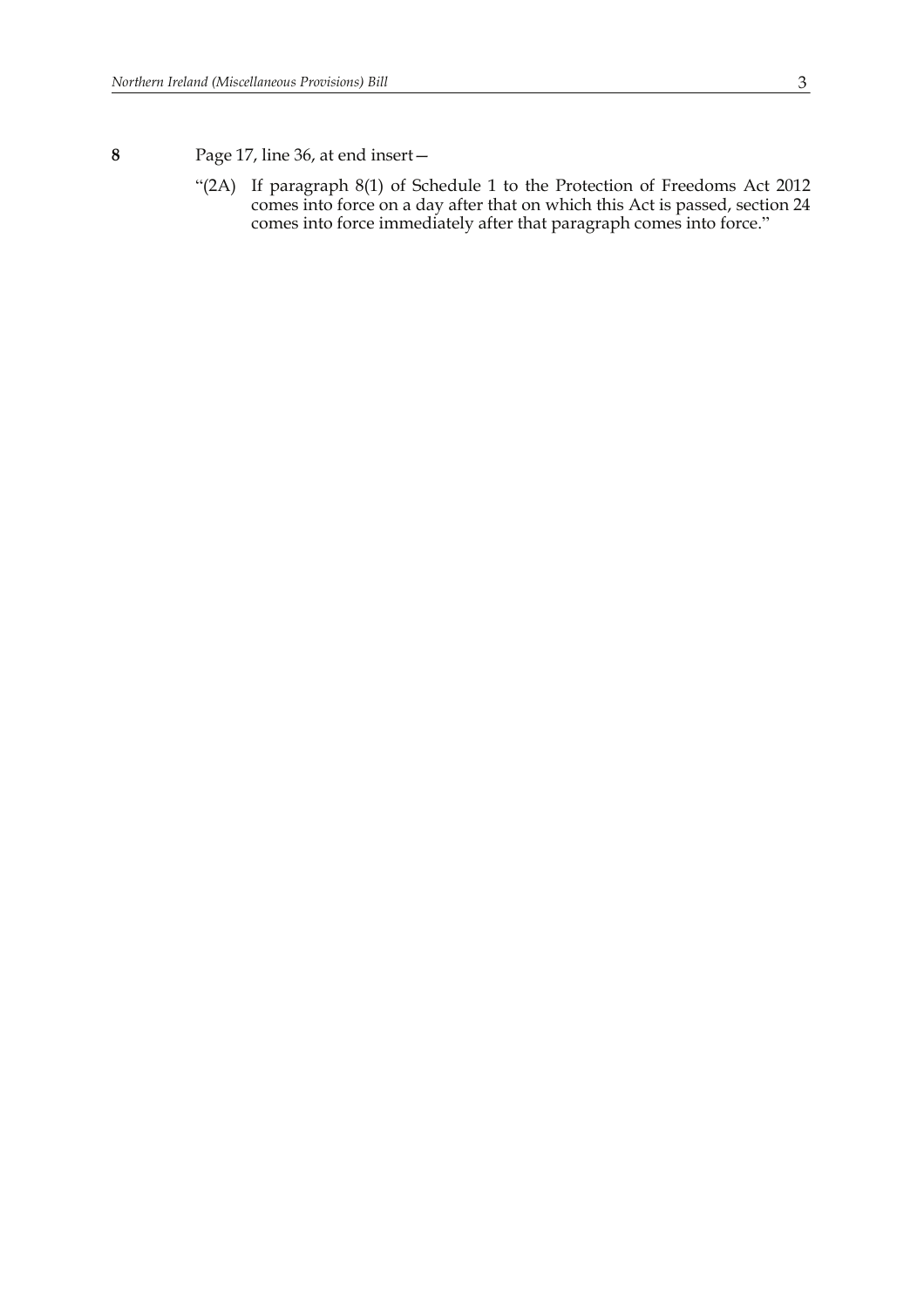# **8** Page 17, line 36, at end insert—

"(2A) If paragraph 8(1) of Schedule 1 to the Protection of Freedoms Act 2012 comes into force on a day after that on which this Act is passed, section 24 comes into force immediately after that paragraph comes into force."